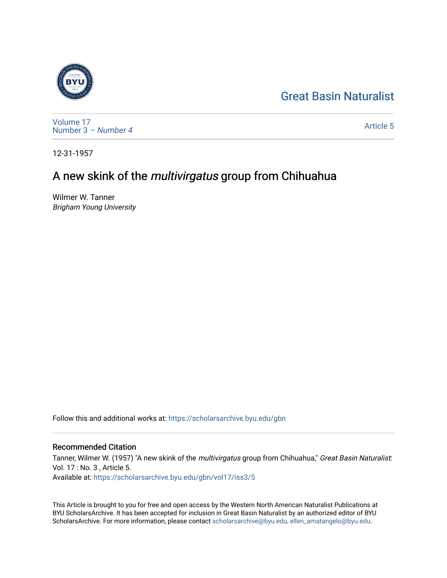# [Great Basin Naturalist](https://scholarsarchive.byu.edu/gbn)



[Volume 17](https://scholarsarchive.byu.edu/gbn/vol17) [Number 3](https://scholarsarchive.byu.edu/gbn/vol17/iss3) – Number 4

[Article 5](https://scholarsarchive.byu.edu/gbn/vol17/iss3/5) 

12-31-1957

# A new skink of the multivirgatus group from Chihuahua

Wilmer W. Tanner Brigham Young University

Follow this and additional works at: [https://scholarsarchive.byu.edu/gbn](https://scholarsarchive.byu.edu/gbn?utm_source=scholarsarchive.byu.edu%2Fgbn%2Fvol17%2Fiss3%2F5&utm_medium=PDF&utm_campaign=PDFCoverPages) 

# Recommended Citation

Tanner, Wilmer W. (1957) "A new skink of the multivirgatus group from Chihuahua," Great Basin Naturalist: Vol. 17 : No. 3 , Article 5. Available at: [https://scholarsarchive.byu.edu/gbn/vol17/iss3/5](https://scholarsarchive.byu.edu/gbn/vol17/iss3/5?utm_source=scholarsarchive.byu.edu%2Fgbn%2Fvol17%2Fiss3%2F5&utm_medium=PDF&utm_campaign=PDFCoverPages)

This Article is brought to you for free and open access by the Western North American Naturalist Publications at BYU ScholarsArchive. It has been accepted for inclusion in Great Basin Naturalist by an authorized editor of BYU ScholarsArchive. For more information, please contact [scholarsarchive@byu.edu, ellen\\_amatangelo@byu.edu.](mailto:scholarsarchive@byu.edu,%20ellen_amatangelo@byu.edu)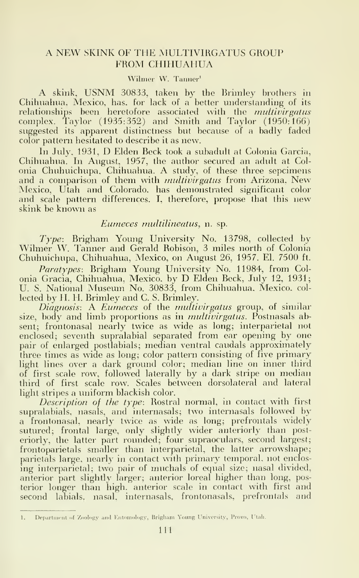## A NEW SKINK OF THE MULTIVIRGATUS GROUP FROM CHIHUAHUA

#### Wihner W. Tanner'

A skink, USNM 30833, taken by the Brimley brothers in Chihuahua. Mexico, has, for lack of a better understanding of its relationships been heretofore associated with the multivirgatus complex. Taylor (1935:352) and Smith and Taylor (1950:166) suggested its apparent distinctness but because of a badly faded color pattern hesitated to describe it as new.

In July. 1931, D Elden Beck took <sup>a</sup> subadult at Colonia Garcia, Chihuahua. In August, 1957, the author secured an adult at Colonia Chuhuichupa. Chihuahua. A study, of these three sepcimens and a comparison of them with *multivirgatus* from Arizona, New Mexico, Utah and Colorado, has demonstrated significant color and scale pattern differences. I, therefore, propose that this new skink be known as

#### Eumeces multilineatus, n. sp.

Type: Brigham Young University No. 13798, collected by Wilmer W. Tanner and Gerald Robison, <sup>3</sup> miles north of Colonia Chuhuichupa, Chihuahua, Mexico, on August 26, 1957. El. 7500 ft.

Paratypes: Brigham Young University No. 11984, from Colonia Gracia, Chihuahua, Mexico, by D Elden Beck, July 12, 1931; U. S. National Museum No. 30833, from Chihuahua. Mexico, col lected by H. H. Brimley and C. S. Brimley.

Diagnosis: A Eumeces of the multivirgatus group, of similar size, body and limb proportions as in *multivirgatus*. Postnasals absent; frontonasal nearly twice as wide as long; interparietal not enclosed; seventh supralabial separated from ear opening by one pair of enlarged postlabials; median ventral caudals approximately three times as wide as long; color pattern consisting of five primary light lines over a dark ground color; median line on inner third of first scale row, followed laterally by a dark stripe on median third of first scale row. Scales between dorsolateral and lateral light stripes a uniform blackish color.

Description of the type: Rostral normal, in contact with first supralabials, nasals, and internasals; two internasals followed by a frontonasal, nearly twice as wide as long; prefrontals widely sutured; frontal large, only slightly wider anteriorly than posteriorly, the latter part rounded; four supraoculars, second largest; frontoparietals smaller than interparietal, the latter arrowshape; parietals large, nearly in contact with primary temporal, not enclosing interparietal; two pair of muchals of equal size; nasal divided, anterior part slightly larger; anterior loreal higher than long, posterior longer than high, anterior scale in contact with first and second labials, nasal, internasals, frontonasals, prefrontals and

<sup>1.</sup> Department of Zoology and Entomology, Brigham Young University, Provo, Utah.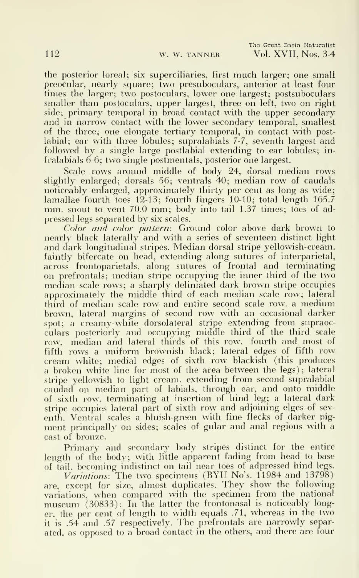Tho Great Basin Naturalist 112 w. w. TANNER Vol. XVII, Nos. 3-4

the posterior loreal; six superciliaries, first much larger; one small preocular, nearly square; two presuboculars, anterior at least four times the larger; two postoculars, lower one largest; postsuboculars smaller than postoculars, upper largest, three on left, two on right side; primary temporal in broad contact with the upper secondary and in narrow contact with the lower secondary temporal, smallest of the three; one elongate tertiary temporal, in contact with postlabial; ear with three lobules; supralabials 7-7, seventh largest and followed by a single large postlabial extending to ear lobules; in fralabials 6-6; two single postmentals, posterior one largest.

Scale rows around middle of body 24, dorsal median rows slightly enlarged; dorsals 56; ventrals 40; median row of caudals noticeably enlarged, approximately thirty per cent as long as wide; lamallae fourth toes 12-13; fourth fingers 10-10; total length 165.7 mm. snout to vent 70.0 mm; body into tail 1.37 times; toes of adpressed legs separated by six scales.

Color and color pattern: Ground color above dark brown to nearly black laterally and with a series of seventeen distinct light and dark longitudinal stripes. Median dorsal stripe yellowish-cream, faintly bifercate on head, extending along sutures of interparietal, across frontoparietals, along sutures of frontal and terminating on prefrontals; median stripe occupying the inner third of the two median scale rows; a sharply deliniated dark brown stripe occupies approximately the middle third of each median scale row; lateral third of median scale row and entire second scale row, a medium brown, lateral margins of second row with an occasional darker spot; a creamy-white dorsolateral stripe extending from supraocculars posteriorly and occupying middle third of the third scale row, median and lateral thirds of this row. fourth and most of fifth rows a uniform brownish black; lateral edges of fifth row cream white; medial edges of sixth row blackish (this produces a broken white line for most of the area between the legs); lateral stripe yellowish to light cream, extending from second supralabial caudad on median part of labials, through ear, and onto middle of sixth row, terminating at insertion of hind leg; a lateral dark stripe occupies lateral part of sixth row and adjoining elges of sev enth. Ventral scales a bluish-green with fine flecks of darker pigment principally on sides; scales of gular and anal regions with a cast of bronze.

Primary and secondary body stripes distinct for the entire length of the body; with little apparent fading from head to base of tail, becoming indistinct on tail near toes of adpressed hind legs.

Variations: The two specimens (BYU No's. 11984 and 13798) are, except for size, almost duplicates. They show the following variations, when compared with the specimen from the national museum (30833): In the latter the frontonasal is noticeably longer, the per cent of length to width equals .71, whereas in the two it is .54 and .57 respectively. The prefrontals are narrowly separated, as opposed to <sup>a</sup> broad contact in the others, and there are four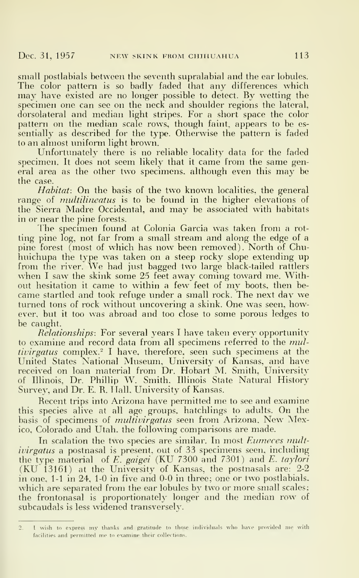small postlabials between the seventh supralabial and the ear lobules. The color pattern is so badly faded that any differences which may have existed are no longer possible to detect. By wetting the specimen one can see on the neck and shoulder regions the lateral, dorsolateral and median light stripes. For a short space the color pattern on the median scale rows, though faint, appears to be es sentially as described for the type. Otherwise the pattern is faded to an almost uniform light brown.

Unfortunately there is no reliable locality data for the faded specimen. It does not seem likely that it came from the same general area as the other two specimens, although even this may be the case.

Habitat: On the basis of the two known localities, the general range of *multilineatus* is to be found in the higher elevations of the Sierra Madre Occidental, and may be associated with habitats in or near the pine forests.

The specimen found at Colonia Garcia was taken from a rotting pine log, not far from a small stream and along the edge of a pine forest (most of which has now^ been removed). North of Chuhuichupa the type was taken on a steep rocky slope extending up from the river. We had just bagged two large black-tailed rattlers when <sup>I</sup> saw the skink some <sup>25</sup> feet away coming toward me. Withwhen I saw the skink some 25 feet away coming toward me. With-<br>out hesitation it came to within a few feet of my boots, then became startled and took refuge under <sup>a</sup> small rock. The next day we turned tons of rock without uncovering a skink. One was seen, however, but it too was abroad and too close to some porous ledges to be caught.

Relationships: For several years I have taken every opportunity to examine and record data from all specimens referred to the multivirgatus complex.<sup>2</sup> I have, therefore, seen such specimens at the United States National Museum, University of Kansas, and have received on loan material from Dr. Hobart M. Smith, University of Illinois, Dr. Phillip W. Smith. Illinois State Natural History Survey, and Dr. E. R. Hall, University of Kansas.

Recent trips into Arizona have permitted me to see and examine this species alive at all age groups, hatchlings to adults. On the basis of specimens of *multivirgatus* seen from Arizona. New Mexico, Colorado and Utah, the following comparisons are made.

In scalation the two species are similar. In most Eumeces multivirgatus a postnasal is present, out of 33 specimens seen, including the type material of  $E$ . gaigei (KU 7300 and 7301) and  $E$ . taylori (KU 13161) at the University of Kansas, the postnasals are: 2-2 in one, 1-1 in 24, 1-0 in five and 0-0 in three; one or two postlabials, which are separated from the ear lobules by two or more small scales; the frontonasal is proportionately longer and the median row of subcaudals is less widened transversely.

<sup>2.</sup> I wish to express my thanks and gratitude to those individuals who have provided me with facilities and permitted me to examine their collections.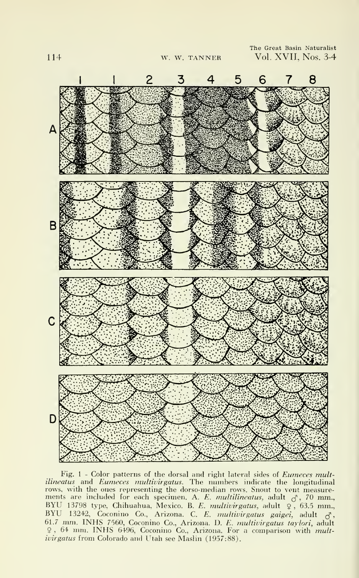

Fig. 1 - Color patterns of the dorsal and right lateral sides of Eumeces multilineatus and Eumeces multivirgatus. The numbers indicate the longitudinal rows, with the ones representing the dorso-median rows. Snout to vent measurements are included for each specimen. A. E. multilineatus, adult  $\sigma$ , 70 mm., BYU 13798 type, Chihuahua, Mexico. B. E. multivirgatus, adult 9, 63.5 mm., BYD 13242, Coconino Co., Arizona. C. E. multivirgatus, adult  $\frac{9}{5}$ , 05.5 mm., BYD 13242, Coconino Co., Arizona. C. E. multivirgatus gaigei, adult  $\frac{3}{5}$ , 61.7 mm. INHS 7560, Coconino Co., Arizona. D. E. multivirgatus taylori, adult 9, 64 mm. INHS 6496, Coconino Co., Arizona. For a comparison with multivirgatus from Colorado and Utah see Maslin (1957:88).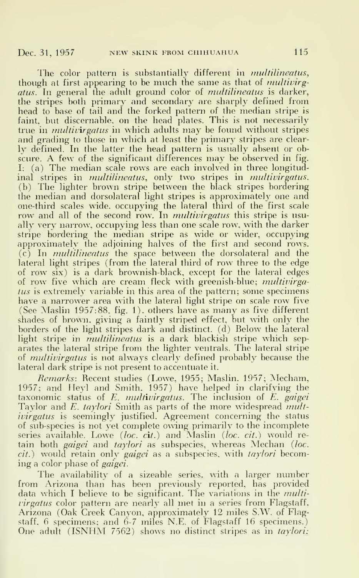The color pattern is substantially different in multilineatus, though at first appearing to be much the same as that of *multivirg*atus. In general the adult ground color of *multilineatus* is darker, the stripes both primary and secondary are sharply defined from head to base of tail and the forked pattern of the median stripe is faint, but discernable, on the head plates. This is not necessarily true in *multivirgatus* in which adults may be found without stripes and grading to those in which at least the primary stripes are clear ly defined. In the latter the head pattern is usually absent or ob scure. A few of the significant differences may be observed in fig. I: (a) The median scale rows are each involved in three longitudinal stripes in *multilineatus*, only two stripes in *multivirgatus*. (b) The lighter brown stripe between the black stripes bordering the median and dorsolateral light stripes is approximately one and one-third scales wide, occupying the lateral third of the first scale row and all of the second row. In *multivirgatus* this stripe is usually very narrow, occupying less than one scale row, with the darker stripe bordering the median stripe as wide or wider, occupying approximately the adjoining halves of the first and second rows. (c) In multilineatus the space between the dorsolateral and the lateral light stripes (from the lateral third of row three to the edge of row six) is a dark brownish-black, except for the lateral edges of row five which are cream fleck with greenish-blue; *multivirga*tus is extremely variable in this area of the pattern; some specimens have a narrower area with the lateral light stripe on scale row five (See Maslin 1957:88. fig. 1). others have as many as five different shades of brown, giving a faintly striped effect, but with only the borders of the light stripes dark and distinct, (d) Below the lateral light stripe in *multilineatus* is a dark blackish stripe which separates the lateral stripe from the lighter ventrals. The lateral stripe of multivirgatus is not always clearly defined probably because the lateral dark stripe is not present to accentuate it.

Remarks: Recent studies (Lowe, 1955; Maslin. 1957; Mecham, 1957; and Heyl and Smith. 1957) have helped in clarifying the taxonomic status of  $E$ . *multivirgatus*. The inclusion of  $E$ . *gaigei* Taylor and E. taylori Smith as parts of the more widespread multivirgatus is seemingly justified. Agreement concerning the status of sub-species is not yet complete owing primarily to the incomplete series available. Lowe (*loc. c*it.) and Maslin (*loc. cit.*) would retain both *gaigei* and *taylori* as subspecies, whereas Mechan (loc. cit.) would retain only gaigei as a subspecies, with taylori becoming a color phase of *gaigei*.

The availability of <sup>a</sup> sizeable series, with <sup>a</sup> larger number from Arizona than has been previously reported, has provided data which I believe to be significant. The variations in the *multi*virgatus color pattern are nearly all met in a series from Flagstaff, Arizona (Oak Creek Canyon, approximately 12 miles S.W. of Flagstaff, 6 specimens; and 6-7 miles N.E. of Flagstaff 16 specimens.) One adult (ISNHM 7562) shows no distinct stripes as in *taylori*;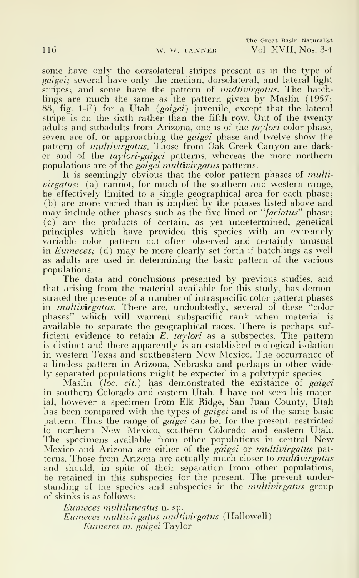some have only the dorsolateral stripes present as in the type of *gaigei*; several have only the median, dorsolateral, and lateral light stripes; and some have the pattern of *multivirgatus*. The hatchlings are much the same as the pattern given by Maslin (1957: 88, fig. 1-E) for a Utah (*gaigei*) juvenile, except that the lateral stripe is on the sixth rather than the fifth row. Out of the twenty adults and subadults from Arizona, one is of the *taylori* color phase, seven are of, or approaching the *gaigei* phase and twelve show the pattern of *multivirgatus*. Those from Oak Creek Canyon are darker and of the  $tay\overline{lo}ri\overline{g}ajgei$  patterns, whereas the more northern populations are of the *gaigei-multivirgatus* patterns.

It is seemingly obvious that the color pattern phases of *multi*virgatus: (a) cannot, for much of the southern and western range, be effectively limited to a single geographical area for each phase; (b) are more varied than is implied by the phases listed above and may include other phases such as the five lined or "*faciatus*" phase; (c) are the products of certain, as yet undetemiined, genetical principles which have provided this species with an extremely variable color pattern not often observed and certainly unusual in *Eumeces*; (d) may be more clearly set forth if hatchlings as well as adults are used in determining the basic pattern of the various populations.

The data and conclusions presented by previous studies, and that arising from the material available for this study, has demonstrated the presence of a number of intraspacific color pattern phases in *multivirgatus*. There are, undoubtedly, several of these "color phases" which will warrent subspacific rank when material is available to separate the geographical races. There is perhaps suf ficient evidence to retain  $E.$   $\emph{taylori}$  as a subspecies. The pattern  $\hbox{ }$ is distinct and there apparently is an established ecological isolation in western Fexas and southeastern New Mexico. The occurrance of a lineless pattern in Arizona, Nebraska and perhaps in other widely separated populations might be expected in a polytypic species.

Maslin *(loc. cit.*) has demonstrated the existance of *gaigei* in southern Colorado and eastern Utah. <sup>I</sup> have not seen his material, however a specimen from Elk Ridge, San Juan County, Utah has been compared with the types of *gaigei* and is of the same basic pattern. Thus the range of *gaigei* can be, for the present, restricted to northern New Mexico, southern Colorado and eastern Utah. The specimens available from other populations in central New Mexico and Arizona are either of the *gaigei* or *multivirgatus* patterns. Those from Arizona are actually much closer to *multivirgatus* and should, in spite of their separation from other populations, be retained in this subspecies for the present. The present understanding of the species and subspecies in the *multivirgatus* group of skinks is as follows:

Eumeces multilineatus n. sp. Eumeces multivirgatus multivirgatus (Hallowell) Eumeses m. gaigei Taylor